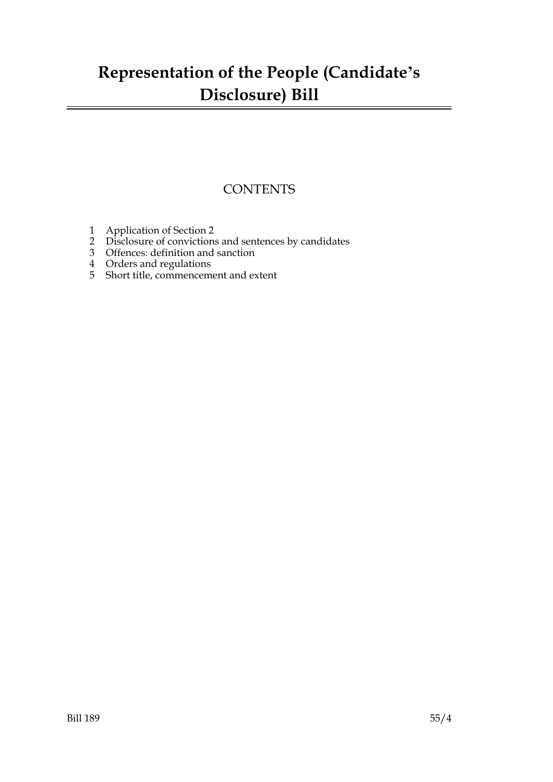### **Representation of the People (Candidate's Disclosure) Bill**

### **CONTENTS**

- 1 Application of Section 2
- 2 Disclosure of convictions and sentences by candidates
- 3 Offences: definition and sanction
- 4 Orders and regulations
- 5 Short title, commencement and extent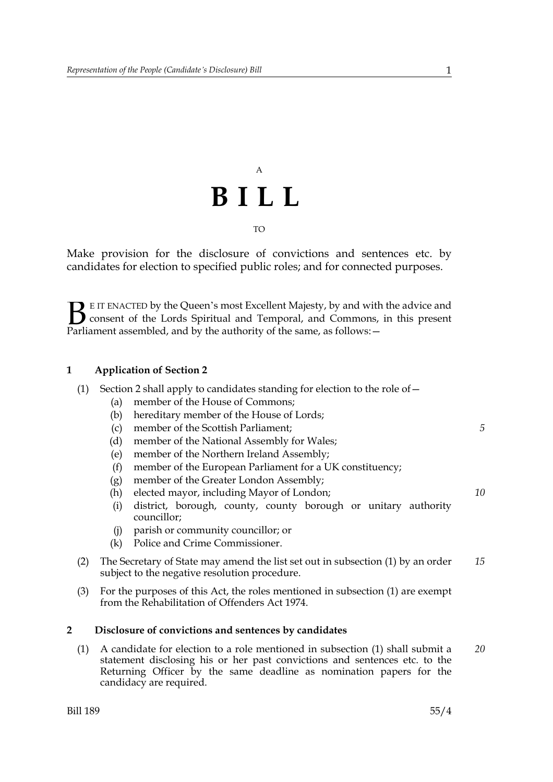## A **BILL** TO

Make provision for the disclosure of convictions and sentences etc. by candidates for election to specified public roles; and for connected purposes.

E IT ENACTED by the Queen's most Excellent Majesty, by and with the advice and consent of the Lords Spiritual and Temporal, and Commons, in this present **B** E IT ENACTED by the Queen's most Excellent Majesty, by and with consent of the Lords Spiritual and Temporal, and Commons, Parliament assembled, and by the authority of the same, as follows:  $-$ 

#### **1 Application of Section 2**

|  | (1) Section 2 shall apply to candidates standing for election to the role of $-$ |  |  |
|--|----------------------------------------------------------------------------------|--|--|
|  |                                                                                  |  |  |

- (a) member of the House of Commons;
- (b) hereditary member of the House of Lords;
- (c) member of the Scottish Parliament;
- (d) member of the National Assembly for Wales;
- (e) member of the Northern Ireland Assembly;
- (f) member of the European Parliament for a UK constituency;
- (g) member of the Greater London Assembly;
- (h) elected mayor, including Mayor of London;
- (i) district, borough, county, county borough or unitary authority councillor;
- (j) parish or community councillor; or
- (k) Police and Crime Commissioner.
- (2) The Secretary of State may amend the list set out in subsection (1) by an order subject to the negative resolution procedure. *15*
- (3) For the purposes of this Act, the roles mentioned in subsection (1) are exempt from the Rehabilitation of Offenders Act 1974.

#### **2 Disclosure of convictions and sentences by candidates**

(1) A candidate for election to a role mentioned in subsection (1) shall submit a statement disclosing his or her past convictions and sentences etc. to the Returning Officer by the same deadline as nomination papers for the candidacy are required. *20*

*10*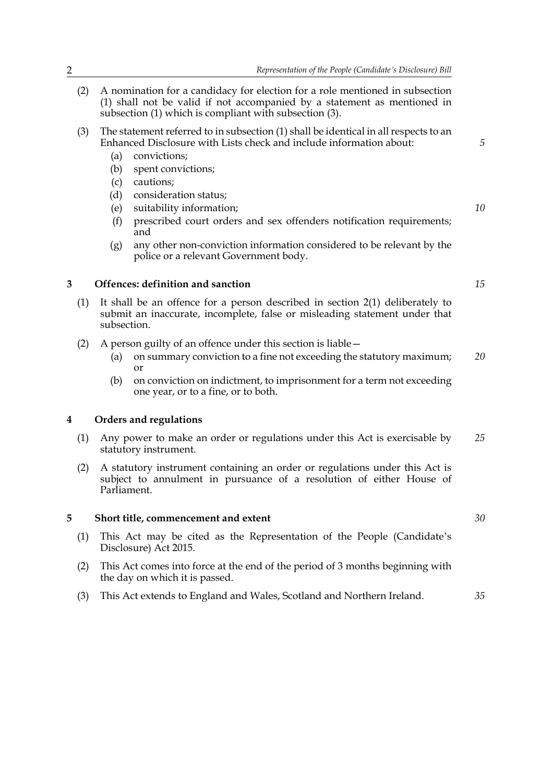- (2) A nomination for a candidacy for election for a role mentioned in subsection (1) shall not be valid if not accompanied by a statement as mentioned in subsection (1) which is compliant with subsection (3).
- (3) The statement referred to in subsection (1) shall be identical in all respects to an Enhanced Disclosure with Lists check and include information about:
	- (a) convictions;
	- (b) spent convictions;
	- (c) cautions;
	- (d) consideration status;
	- (e) suitability information;
	- (f) prescribed court orders and sex offenders notification requirements; and
	- (g) any other non-conviction information considered to be relevant by the police or a relevant Government body.

#### **3 Offences: definition and sanction**

- (1) It shall be an offence for a person described in section 2(1) deliberately to submit an inaccurate, incomplete, false or misleading statement under that subsection.
- (2) A person guilty of an offence under this section is liable—
	- (a) on summary conviction to a fine not exceeding the statutory maximum; or *20*
	- (b) on conviction on indictment, to imprisonment for a term not exceeding one year, or to a fine, or to both.

#### **4 Orders and regulations**

- (1) Any power to make an order or regulations under this Act is exercisable by statutory instrument. *25*
- (2) A statutory instrument containing an order or regulations under this Act is subject to annulment in pursuance of a resolution of either House of Parliament.

#### **5 Short title, commencement and extent**

- (1) This Act may be cited as the Representation of the People (Candidate's Disclosure) Act 2015.
- (2) This Act comes into force at the end of the period of 3 months beginning with the day on which it is passed.
- (3) This Act extends to England and Wales, Scotland and Northern Ireland. *35*

*10*

*5*

*15*